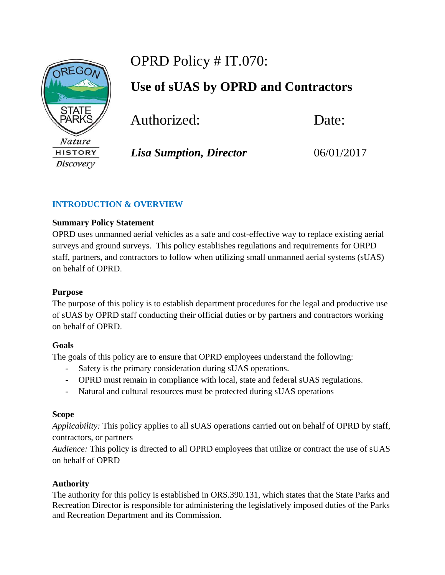

# OPRD Policy # IT.070:

**Use of sUAS by OPRD and Contractors** 

Authorized:Date:

## *Lisa Sumption, Director* 06/01/2017

## **INTRODUCTION & OVERVIEW**

## **Summary Policy Statement**

OPRD uses unmanned aerial vehicles as a safe and cost-effective way to replace existing aerial surveys and ground surveys. This policy establishes regulations and requirements for ORPD staff, partners, and contractors to follow when utilizing small unmanned aerial systems (sUAS) on behalf of OPRD.

## **Purpose**

The purpose of this policy is to establish department procedures for the legal and productive use of sUAS by OPRD staff conducting their official duties or by partners and contractors working on behalf of OPRD.

## **Goals**

The goals of this policy are to ensure that OPRD employees understand the following:

- Safety is the primary consideration during sUAS operations.
- OPRD must remain in compliance with local, state and federal sUAS regulations.
- Natural and cultural resources must be protected during sUAS operations

## **Scope**

*Applicability:* This policy applies to all sUAS operations carried out on behalf of OPRD by staff, contractors, or partners

*Audience:* This policy is directed to all OPRD employees that utilize or contract the use of sUAS on behalf of OPRD

## **Authority**

The authority for this policy is established in ORS.390.131, which states that the State Parks and Recreation Director is responsible for administering the legislatively imposed duties of the Parks and Recreation Department and its Commission.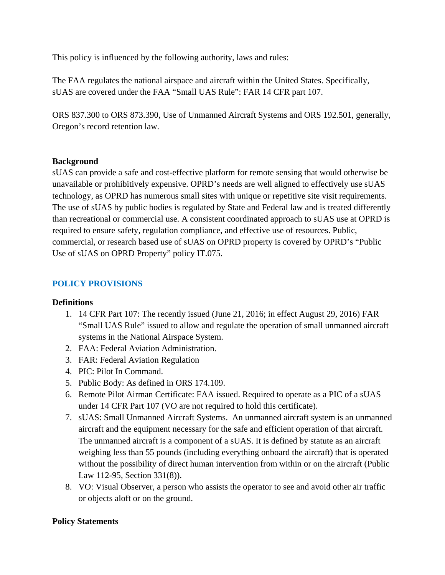This policy is influenced by the following authority, laws and rules:

The FAA regulates the national airspace and aircraft within the United States. Specifically, sUAS are covered under the FAA "Small UAS Rule": FAR 14 CFR part 107.

ORS 837.300 to ORS 873.390, Use of Unmanned Aircraft Systems and ORS 192.501, generally, Oregon's record retention law.

#### **Background**

sUAS can provide a safe and cost-effective platform for remote sensing that would otherwise be unavailable or prohibitively expensive. OPRD's needs are well aligned to effectively use sUAS technology, as OPRD has numerous small sites with unique or repetitive site visit requirements. The use of sUAS by public bodies is regulated by State and Federal law and is treated differently than recreational or commercial use. A consistent coordinated approach to sUAS use at OPRD is required to ensure safety, regulation compliance, and effective use of resources. Public, commercial, or research based use of sUAS on OPRD property is covered by OPRD's "Public Use of sUAS on OPRD Property" policy IT.075.

## **POLICY PROVISIONS**

#### **Definitions**

- 1. 14 CFR Part 107: The recently issued (June 21, 2016; in effect August 29, 2016) FAR "Small UAS Rule" issued to allow and regulate the operation of small unmanned aircraft systems in the National Airspace System.
- 2. FAA: Federal Aviation Administration.
- 3. FAR: Federal Aviation Regulation
- 4. PIC: Pilot In Command.
- 5. Public Body: As defined in ORS 174.109.
- 6. Remote Pilot Airman Certificate: FAA issued. Required to operate as a PIC of a sUAS under 14 CFR Part 107 (VO are not required to hold this certificate).
- 7. sUAS: Small Unmanned Aircraft Systems. An unmanned aircraft system is an unmanned aircraft and the equipment necessary for the safe and efficient operation of that aircraft. The unmanned aircraft is a component of a sUAS. It is defined by statute as an aircraft weighing less than 55 pounds (including everything onboard the aircraft) that is operated without the possibility of direct human intervention from within or on the aircraft (Public Law 112-95, Section 331(8)).
- 8. VO: Visual Observer, a person who assists the operator to see and avoid other air traffic or objects aloft or on the ground.

## **Policy Statements**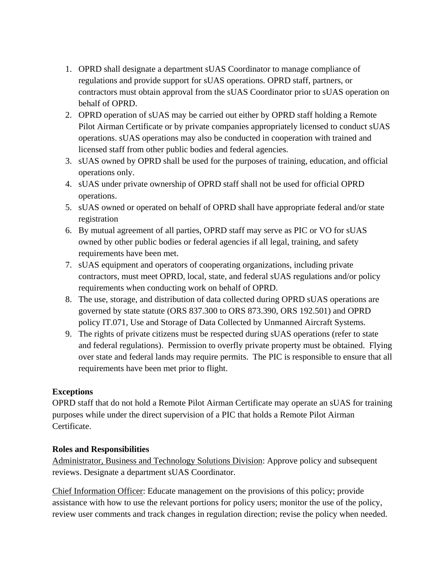- 1. OPRD shall designate a department sUAS Coordinator to manage compliance of regulations and provide support for sUAS operations. OPRD staff, partners, or contractors must obtain approval from the sUAS Coordinator prior to sUAS operation on behalf of OPRD.
- 2. OPRD operation of sUAS may be carried out either by OPRD staff holding a Remote Pilot Airman Certificate or by private companies appropriately licensed to conduct sUAS operations. sUAS operations may also be conducted in cooperation with trained and licensed staff from other public bodies and federal agencies.
- 3. sUAS owned by OPRD shall be used for the purposes of training, education, and official operations only.
- 4. sUAS under private ownership of OPRD staff shall not be used for official OPRD operations.
- 5. sUAS owned or operated on behalf of OPRD shall have appropriate federal and/or state registration
- 6. By mutual agreement of all parties, OPRD staff may serve as PIC or VO for sUAS owned by other public bodies or federal agencies if all legal, training, and safety requirements have been met.
- 7. sUAS equipment and operators of cooperating organizations, including private contractors, must meet OPRD, local, state, and federal sUAS regulations and/or policy requirements when conducting work on behalf of OPRD.
- 8. The use, storage, and distribution of data collected during OPRD sUAS operations are governed by state statute (ORS 837.300 to ORS 873.390, ORS 192.501) and OPRD policy IT.071, Use and Storage of Data Collected by Unmanned Aircraft Systems.
- 9. The rights of private citizens must be respected during sUAS operations (refer to state and federal regulations). Permission to overfly private property must be obtained. Flying over state and federal lands may require permits. The PIC is responsible to ensure that all requirements have been met prior to flight.

## **Exceptions**

OPRD staff that do not hold a Remote Pilot Airman Certificate may operate an sUAS for training purposes while under the direct supervision of a PIC that holds a Remote Pilot Airman Certificate.

## **Roles and Responsibilities**

Administrator, Business and Technology Solutions Division: Approve policy and subsequent reviews. Designate a department sUAS Coordinator.

Chief Information Officer: Educate management on the provisions of this policy; provide assistance with how to use the relevant portions for policy users; monitor the use of the policy, review user comments and track changes in regulation direction; revise the policy when needed.